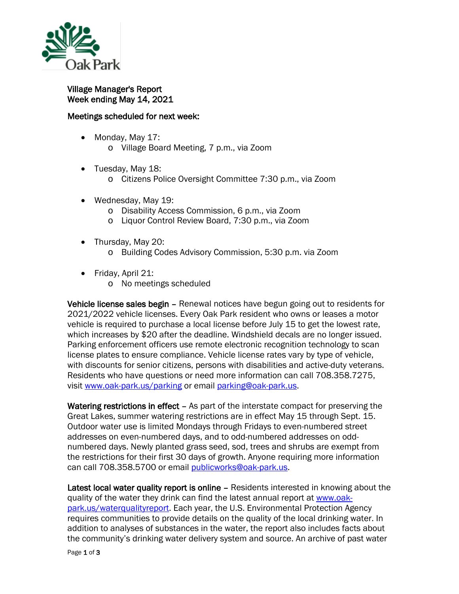

Village Manager's Report Week ending May 14, 2021

## Meetings scheduled for next week:

- Monday, May 17:
	- o Village Board Meeting, 7 p.m., via Zoom
- Tuesday, May 18:
	- o Citizens Police Oversight Committee 7:30 p.m., via Zoom
- Wednesday, May 19:
	- o Disability Access Commission, 6 p.m., via Zoom
	- o Liquor Control Review Board, 7:30 p.m., via Zoom
- Thursday, May 20:
	- o Building Codes Advisory Commission, 5:30 p.m. via Zoom
- Friday, April 21:
	- o No meetings scheduled

Vehicle license sales begin – Renewal notices have begun going out to residents for 2021/2022 vehicle licenses. Every Oak Park resident who owns or leases a motor vehicle is required to purchase a local license before July 15 to get the lowest rate, which increases by \$20 after the deadline. Windshield decals are no longer issued. Parking enforcement officers use remote electronic recognition technology to scan license plates to ensure compliance. Vehicle license rates vary by type of vehicle, with discounts for senior citizens, persons with disabilities and active-duty veterans. Residents who have questions or need more information can call 708.358.7275, visit [www.oak-park.us/parking](http://www.oak-park.us/parking) or email [parking@oak-park.us.](mailto:parking@oak-park.us)

Watering restrictions in effect – As part of the interstate compact for preserving the Great Lakes, summer watering restrictions are in effect May 15 through Sept. 15. Outdoor water use is limited Mondays through Fridays to even-numbered street addresses on even-numbered days, and to odd-numbered addresses on oddnumbered days. Newly planted grass seed, sod, trees and shrubs are exempt from the restrictions for their first 30 days of growth. Anyone requiring more information can call 708.358.5700 or email [publicworks@oak-park.us.](mailto:publicworks@oak-park.us)

Latest local water quality report is online – Residents interested in knowing about the quality of the water they drink can find the latest annual report at [www.oak](http://www.oak-park.us/waterqualityreport)[park.us/waterqualityreport.](http://www.oak-park.us/waterqualityreport) Each year, the U.S. Environmental Protection Agency requires communities to provide details on the quality of the local drinking water. In addition to analyses of substances in the water, the report also includes facts about the community's drinking water delivery system and source. An archive of past water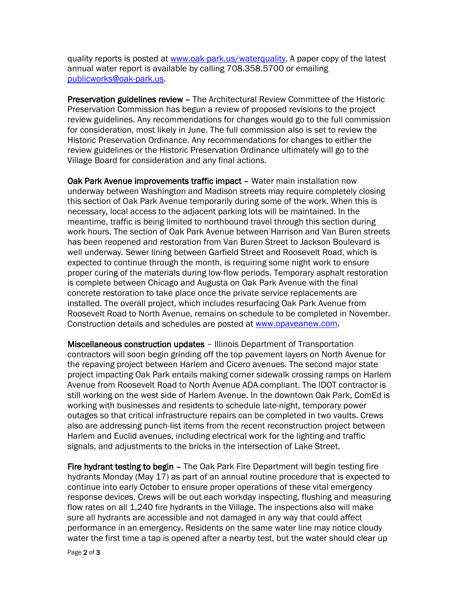quality reports is posted at [www.oak-park.us/waterquality.](http://www.oak-park.us/waterquality) A paper copy of the latest annual water report is available by calling 708.358.5700 or emailing [publicworks@oak-park.us.](mailto:publicworks@oak-park.us)

Preservation guidelines review – The Architectural Review Committee of the Historic Preservation Commission has begun a review of proposed revisions to the project review guidelines. Any recommendations for changes would go to the full commission for consideration, most likely in June. The full commission also is set to review the Historic Preservation Ordinance. Any recommendations for changes to either the review guidelines or the Historic Preservation Ordinance ultimately will go to the Village Board for consideration and any final actions.

Oak Park Avenue improvements traffic impact – Water main installation now underway between Washington and Madison streets may require completely closing this section of Oak Park Avenue temporarily during some of the work. When this is necessary, local access to the adjacent parking lots will be maintained. In the meantime, traffic is being limited to northbound travel through this section during work hours. The section of Oak Park Avenue between Harrison and Van Buren streets has been reopened and restoration from Van Buren Street to Jackson Boulevard is well underway. Sewer lining between Garfield Street and Roosevelt Road, which is expected to continue through the month, is requiring some night work to ensure proper curing of the materials during low-flow periods. Temporary asphalt restoration is complete between Chicago and Augusta on Oak Park Avenue with the final concrete restoration to take place once the private service replacements are installed. The overall project, which includes resurfacing Oak Park Avenue from Roosevelt Road to North Avenue, remains on schedule to be completed in November. Construction details and schedules are posted at [www.opaveanew.com.](http://www.opaveanew.com/)

Miscellaneous construction updates – Illinois Department of Transportation contractors will soon begin grinding off the top pavement layers on North Avenue for the repaving project between Harlem and Cicero avenues. The second major state project impacting Oak Park entails making corner sidewalk crossing ramps on Harlem Avenue from Roosevelt Road to North Avenue ADA compliant. The IDOT contractor is still working on the west side of Harlem Avenue. In the downtown Oak Park, ComEd is working with businesses and residents to schedule late-night, temporary power outages so that critical infrastructure repairs can be completed in two vaults. Crews also are addressing punch-list items from the recent reconstruction project between Harlem and Euclid avenues, including electrical work for the lighting and traffic signals, and adjustments to the bricks in the intersection of Lake Street.

Fire hydrant testing to begin – The Oak Park Fire Department will begin testing fire hydrants Monday (May 17) as part of an annual routine procedure that is expected to continue into early October to ensure proper operations of these vital emergency response devices. Crews will be out each workday inspecting, flushing and measuring flow rates on all 1,240 fire hydrants in the Village. The inspections also will make sure all hydrants are accessible and not damaged in any way that could affect performance in an emergency. Residents on the same water line may notice cloudy water the first time a tap is opened after a nearby test, but the water should clear up